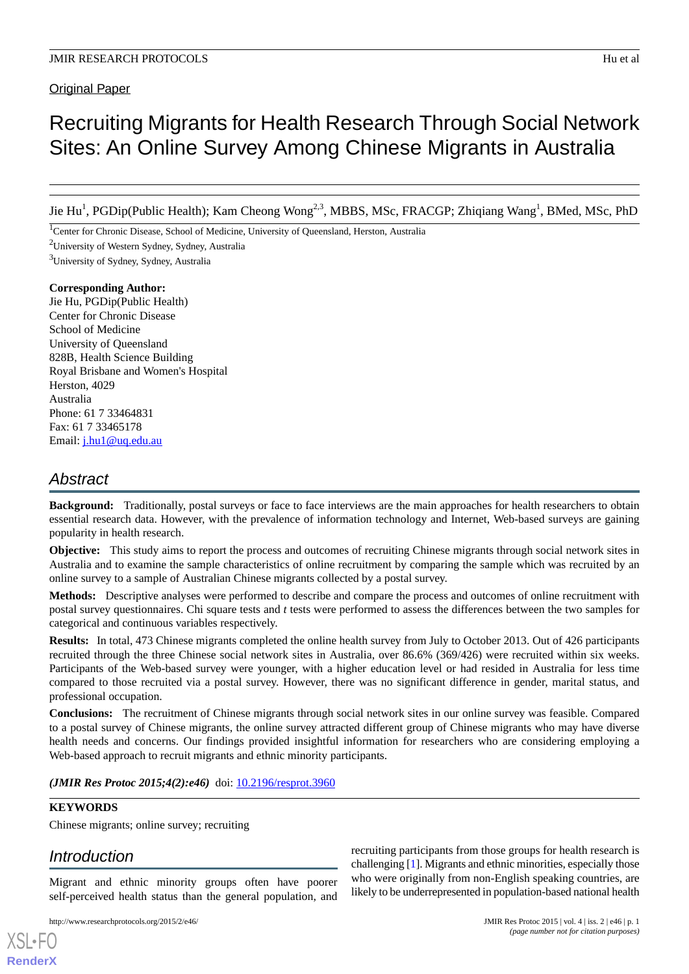Original Paper

# Recruiting Migrants for Health Research Through Social Network Sites: An Online Survey Among Chinese Migrants in Australia

Jie Hu<sup>1</sup>, PGDip(Public Health); Kam Cheong Wong<sup>2,3</sup>, MBBS, MSc, FRACGP; Zhiqiang Wang<sup>1</sup>, BMed, MSc, PhD

<sup>1</sup>Center for Chronic Disease, School of Medicine, University of Queensland, Herston, Australia

<sup>2</sup>University of Western Sydney, Sydney, Australia

<sup>3</sup>University of Sydney, Sydney, Australia

# **Corresponding Author:**

Jie Hu, PGDip(Public Health) Center for Chronic Disease School of Medicine University of Queensland 828B, Health Science Building Royal Brisbane and Women's Hospital Herston, 4029 Australia Phone: 61 7 33464831 Fax: 61 7 33465178 Email: [j.hu1@uq.edu.au](mailto:j.hu1@uq.edu.au)

# *Abstract*

**Background:** Traditionally, postal surveys or face to face interviews are the main approaches for health researchers to obtain essential research data. However, with the prevalence of information technology and Internet, Web-based surveys are gaining popularity in health research.

**Objective:** This study aims to report the process and outcomes of recruiting Chinese migrants through social network sites in Australia and to examine the sample characteristics of online recruitment by comparing the sample which was recruited by an online survey to a sample of Australian Chinese migrants collected by a postal survey.

**Methods:** Descriptive analyses were performed to describe and compare the process and outcomes of online recruitment with postal survey questionnaires. Chi square tests and *t* tests were performed to assess the differences between the two samples for categorical and continuous variables respectively.

**Results:** In total, 473 Chinese migrants completed the online health survey from July to October 2013. Out of 426 participants recruited through the three Chinese social network sites in Australia, over 86.6% (369/426) were recruited within six weeks. Participants of the Web-based survey were younger, with a higher education level or had resided in Australia for less time compared to those recruited via a postal survey. However, there was no significant difference in gender, marital status, and professional occupation.

**Conclusions:** The recruitment of Chinese migrants through social network sites in our online survey was feasible. Compared to a postal survey of Chinese migrants, the online survey attracted different group of Chinese migrants who may have diverse health needs and concerns. Our findings provided insightful information for researchers who are considering employing a Web-based approach to recruit migrants and ethnic minority participants.

*(JMIR Res Protoc 2015;4(2):e46)* doi:  $10.2196$ /resprot.3960

# **KEYWORDS**

[XSL](http://www.w3.org/Style/XSL)•FO **[RenderX](http://www.renderx.com/)**

Chinese migrants; online survey; recruiting

# *Introduction*

Migrant and ethnic minority groups often have poorer self-perceived health status than the general population, and

http://www.researchprotocols.org/2015/2/e46/ JMIR Res Protoc 2015 | vol. 4 | iss. 2 | e46 | p. 1

recruiting participants from those groups for health research is challenging [[1\]](#page-5-0). Migrants and ethnic minorities, especially those who were originally from non-English speaking countries, are likely to be underrepresented in population-based national health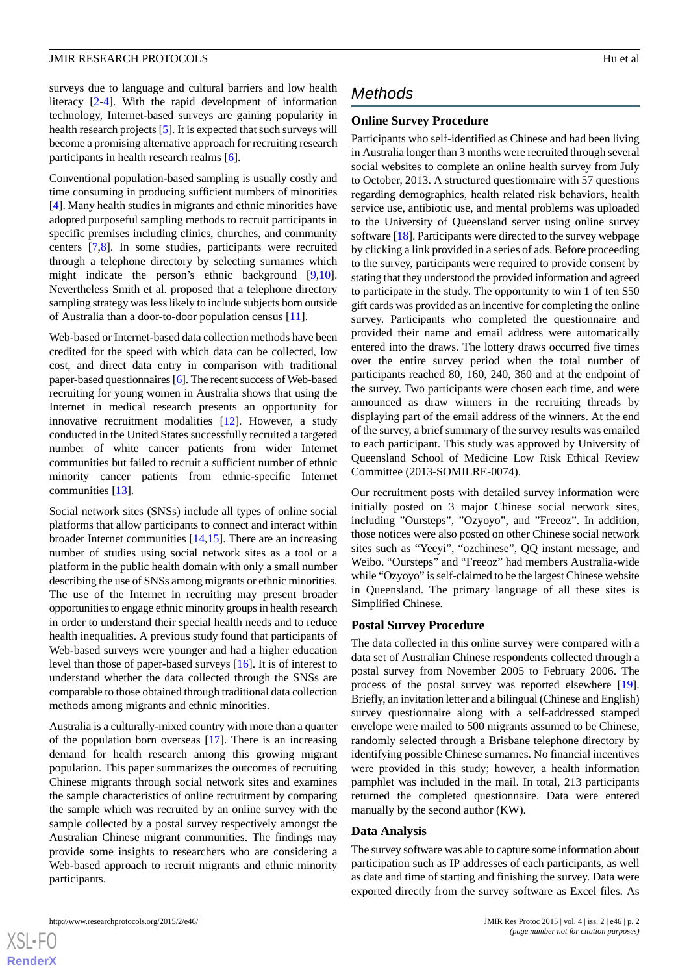surveys due to language and cultural barriers and low health literacy [\[2](#page-5-1)[-4](#page-5-2)]. With the rapid development of information technology, Internet-based surveys are gaining popularity in health research projects [\[5\]](#page-5-3). It is expected that such surveys will become a promising alternative approach for recruiting research participants in health research realms [\[6](#page-5-4)].

Conventional population-based sampling is usually costly and time consuming in producing sufficient numbers of minorities [[4\]](#page-5-2). Many health studies in migrants and ethnic minorities have adopted purposeful sampling methods to recruit participants in specific premises including clinics, churches, and community centers [[7,](#page-5-5)[8](#page-5-6)]. In some studies, participants were recruited through a telephone directory by selecting surnames which might indicate the person's ethnic background [\[9](#page-5-7),[10\]](#page-5-8). Nevertheless Smith et al. proposed that a telephone directory sampling strategy was less likely to include subjects born outside of Australia than a door-to-door population census [\[11](#page-5-9)].

Web-based or Internet-based data collection methods have been credited for the speed with which data can be collected, low cost, and direct data entry in comparison with traditional paper-based questionnaires [\[6](#page-5-4)]. The recent success of Web-based recruiting for young women in Australia shows that using the Internet in medical research presents an opportunity for innovative recruitment modalities [\[12](#page-5-10)]. However, a study conducted in the United States successfully recruited a targeted number of white cancer patients from wider Internet communities but failed to recruit a sufficient number of ethnic minority cancer patients from ethnic-specific Internet communities [\[13](#page-5-11)].

Social network sites (SNSs) include all types of online social platforms that allow participants to connect and interact within broader Internet communities [[14](#page-6-0)[,15](#page-6-1)]. There are an increasing number of studies using social network sites as a tool or a platform in the public health domain with only a small number describing the use of SNSs among migrants or ethnic minorities. The use of the Internet in recruiting may present broader opportunities to engage ethnic minority groups in health research in order to understand their special health needs and to reduce health inequalities. A previous study found that participants of Web-based surveys were younger and had a higher education level than those of paper-based surveys [[16\]](#page-6-2). It is of interest to understand whether the data collected through the SNSs are comparable to those obtained through traditional data collection methods among migrants and ethnic minorities.

Australia is a culturally-mixed country with more than a quarter of the population born overseas [\[17](#page-6-3)]. There is an increasing demand for health research among this growing migrant population. This paper summarizes the outcomes of recruiting Chinese migrants through social network sites and examines the sample characteristics of online recruitment by comparing the sample which was recruited by an online survey with the sample collected by a postal survey respectively amongst the Australian Chinese migrant communities. The findings may provide some insights to researchers who are considering a Web-based approach to recruit migrants and ethnic minority participants.

# *Methods*

## **Online Survey Procedure**

Participants who self-identified as Chinese and had been living in Australia longer than 3 months were recruited through several social websites to complete an online health survey from July to October, 2013. A structured questionnaire with 57 questions regarding demographics, health related risk behaviors, health service use, antibiotic use, and mental problems was uploaded to the University of Queensland server using online survey software [\[18](#page-6-4)]. Participants were directed to the survey webpage by clicking a link provided in a series of ads. Before proceeding to the survey, participants were required to provide consent by stating that they understood the provided information and agreed to participate in the study. The opportunity to win 1 of ten \$50 gift cards was provided as an incentive for completing the online survey. Participants who completed the questionnaire and provided their name and email address were automatically entered into the draws. The lottery draws occurred five times over the entire survey period when the total number of participants reached 80, 160, 240, 360 and at the endpoint of the survey. Two participants were chosen each time, and were announced as draw winners in the recruiting threads by displaying part of the email address of the winners. At the end of the survey, a brief summary of the survey results was emailed to each participant. This study was approved by University of Queensland School of Medicine Low Risk Ethical Review Committee (2013-SOMILRE-0074).

Our recruitment posts with detailed survey information were initially posted on 3 major Chinese social network sites, including "Oursteps", "Ozyoyo", and "Freeoz". In addition, those notices were also posted on other Chinese social network sites such as "Yeeyi", "ozchinese", QQ instant message, and Weibo. "Oursteps" and "Freeoz" had members Australia-wide while "Ozyoyo" is self-claimed to be the largest Chinese website in Queensland. The primary language of all these sites is Simplified Chinese.

### **Postal Survey Procedure**

The data collected in this online survey were compared with a data set of Australian Chinese respondents collected through a postal survey from November 2005 to February 2006. The process of the postal survey was reported elsewhere [[19\]](#page-6-5). Briefly, an invitation letter and a bilingual (Chinese and English) survey questionnaire along with a self-addressed stamped envelope were mailed to 500 migrants assumed to be Chinese, randomly selected through a Brisbane telephone directory by identifying possible Chinese surnames. No financial incentives were provided in this study; however, a health information pamphlet was included in the mail. In total, 213 participants returned the completed questionnaire. Data were entered manually by the second author (KW).

#### **Data Analysis**

The survey software was able to capture some information about participation such as IP addresses of each participants, as well as date and time of starting and finishing the survey. Data were exported directly from the survey software as Excel files. As

```
http://www.researchprotocols.org/2015/2/e46/ JMIR Res Protoc 2015 | vol. 4 | iss. 2 | e46 | p. 2
```
 $XSI - F($ **[RenderX](http://www.renderx.com/)**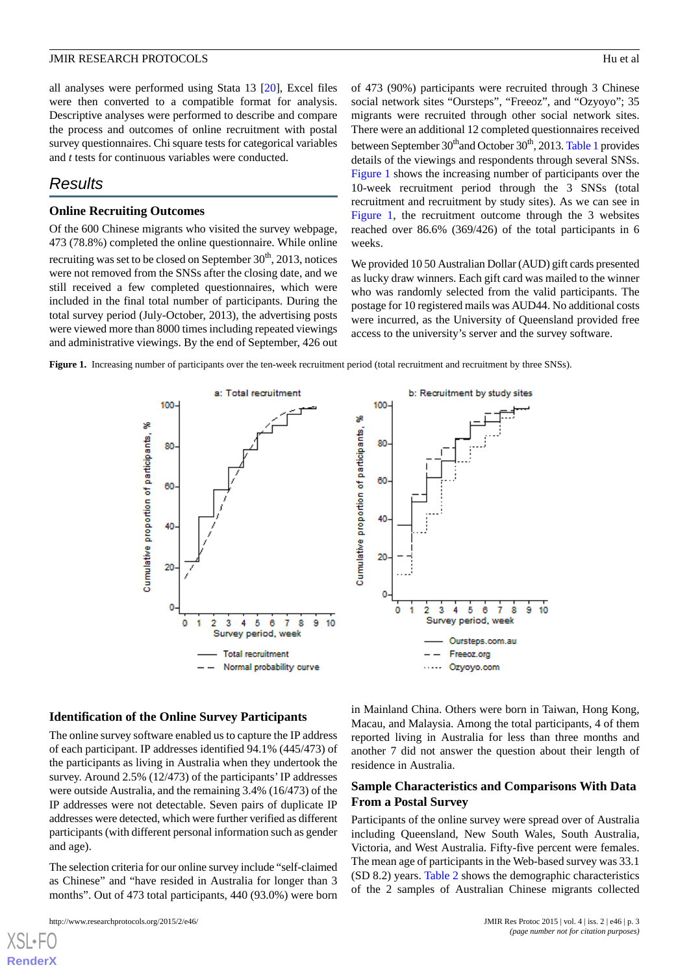all analyses were performed using Stata 13 [[20\]](#page-6-6), Excel files were then converted to a compatible format for analysis. Descriptive analyses were performed to describe and compare the process and outcomes of online recruitment with postal survey questionnaires. Chi square tests for categorical variables and *t* tests for continuous variables were conducted.

## *Results*

#### **Online Recruiting Outcomes**

Of the 600 Chinese migrants who visited the survey webpage, 473 (78.8%) completed the online questionnaire. While online recruiting was set to be closed on September 30<sup>th</sup>, 2013, notices were not removed from the SNSs after the closing date, and we still received a few completed questionnaires, which were included in the final total number of participants. During the total survey period (July-October, 2013), the advertising posts were viewed more than 8000 times including repeated viewings and administrative viewings. By the end of September, 426 out of 473 (90%) participants were recruited through 3 Chinese social network sites "Oursteps", "Freeoz", and "Ozyoyo"; 35 migrants were recruited through other social network sites. There were an additional 12 completed questionnaires received between September 30<sup>th</sup>and October 30<sup>th</sup>, 2013. [Table 1](#page-3-0) provides details of the viewings and respondents through several SNSs. [Figure 1](#page-2-0) shows the increasing number of participants over the 10-week recruitment period through the 3 SNSs (total recruitment and recruitment by study sites). As we can see in [Figure 1,](#page-2-0) the recruitment outcome through the 3 websites reached over 86.6% (369/426) of the total participants in 6 weeks.

We provided 10 50 Australian Dollar (AUD) gift cards presented as lucky draw winners. Each gift card was mailed to the winner who was randomly selected from the valid participants. The postage for 10 registered mails was AUD44. No additional costs were incurred, as the University of Queensland provided free access to the university's server and the survey software.

<span id="page-2-0"></span>**Figure 1.** Increasing number of participants over the ten-week recruitment period (total recruitment and recruitment by three SNSs).



#### **Identification of the Online Survey Participants**

The online survey software enabled us to capture the IP address of each participant. IP addresses identified 94.1% (445/473) of the participants as living in Australia when they undertook the survey. Around 2.5% (12/473) of the participants' IP addresses were outside Australia, and the remaining 3.4% (16/473) of the IP addresses were not detectable. Seven pairs of duplicate IP addresses were detected, which were further verified as different participants (with different personal information such as gender and age).

The selection criteria for our online survey include "self-claimed as Chinese" and "have resided in Australia for longer than 3 months". Out of 473 total participants, 440 (93.0%) were born

[XSL](http://www.w3.org/Style/XSL)•FO **[RenderX](http://www.renderx.com/)**

in Mainland China. Others were born in Taiwan, Hong Kong, Macau, and Malaysia. Among the total participants, 4 of them reported living in Australia for less than three months and another 7 did not answer the question about their length of residence in Australia.

#### **Sample Characteristics and Comparisons With Data From a Postal Survey**

Participants of the online survey were spread over of Australia including Queensland, New South Wales, South Australia, Victoria, and West Australia. Fifty-five percent were females. The mean age of participants in the Web-based survey was 33.1 (SD 8.2) years. [Table 2](#page-3-1) shows the demographic characteristics of the 2 samples of Australian Chinese migrants collected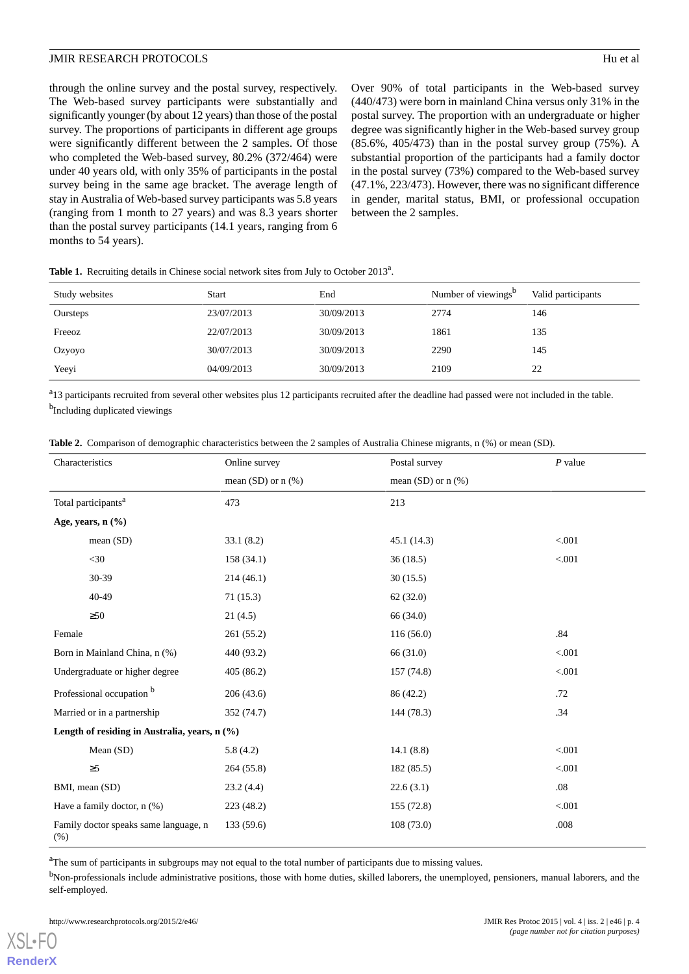through the online survey and the postal survey, respectively. The Web-based survey participants were substantially and significantly younger (by about 12 years) than those of the postal survey. The proportions of participants in different age groups were significantly different between the 2 samples. Of those who completed the Web-based survey, 80.2% (372/464) were under 40 years old, with only 35% of participants in the postal survey being in the same age bracket. The average length of stay in Australia of Web-based survey participants was 5.8 years (ranging from 1 month to 27 years) and was 8.3 years shorter than the postal survey participants (14.1 years, ranging from 6 months to 54 years).

Over 90% of total participants in the Web-based survey (440/473) were born in mainland China versus only 31% in the postal survey. The proportion with an undergraduate or higher degree was significantly higher in the Web-based survey group (85.6%, 405/473) than in the postal survey group (75%). A substantial proportion of the participants had a family doctor in the postal survey (73%) compared to the Web-based survey (47.1%, 223/473). However, there was no significant difference in gender, marital status, BMI, or professional occupation between the 2 samples.

| Study websites | <b>Start</b> | End        | Number of viewings <sup>b</sup> | Valid participants |
|----------------|--------------|------------|---------------------------------|--------------------|
| Oursteps       | 23/07/2013   | 30/09/2013 | 2774                            | 146                |
| Freeoz         | 22/07/2013   | 30/09/2013 | 1861                            | 135                |
| Ozyoyo         | 30/07/2013   | 30/09/2013 | 2290                            | 145                |
| Yeeyi          | 04/09/2013   | 30/09/2013 | 2109                            | 22                 |

<span id="page-3-0"></span>Table 1. Recruiting details in Chinese social network sites from July to October 2013<sup>a</sup>.

<span id="page-3-1"></span><sup>a</sup>13 participants recruited from several other websites plus 12 participants recruited after the deadline had passed were not included in the table. <sup>b</sup>Including duplicated viewings

|  |  |  |  | <b>Table 2.</b> Comparison of demographic characteristics between the 2 samples of Australia Chinese migrants, n (%) or mean (SD). |
|--|--|--|--|------------------------------------------------------------------------------------------------------------------------------------|
|--|--|--|--|------------------------------------------------------------------------------------------------------------------------------------|

| Characteristics                               | Online survey        | Postal survey        | $P$ value |  |  |
|-----------------------------------------------|----------------------|----------------------|-----------|--|--|
|                                               | mean (SD) or $n$ (%) | mean (SD) or $n$ (%) |           |  |  |
| Total participants <sup>a</sup>               | 473                  | 213                  |           |  |  |
| Age, years, $n$ $(\% )$                       |                      |                      |           |  |  |
| mean (SD)                                     | 33.1(8.2)            | 45.1 (14.3)          | < 0.001   |  |  |
| $<$ 30                                        | 158(34.1)            | 36(18.5)             | < .001    |  |  |
| 30-39                                         | 214(46.1)            | 30(15.5)             |           |  |  |
| $40 - 49$                                     | 71(15.3)             | 62(32.0)             |           |  |  |
| $\geq 50$                                     | 21(4.5)              | 66 (34.0)            |           |  |  |
| Female                                        | 261(55.2)            | 116(56.0)            | .84       |  |  |
| Born in Mainland China, n (%)                 | 440 (93.2)           | 66 (31.0)            | < .001    |  |  |
| Undergraduate or higher degree                | 405(86.2)            | 157 (74.8)           | < 0.001   |  |  |
| Professional occupation <sup>b</sup>          | 206(43.6)            | 86 (42.2)            | .72       |  |  |
| Married or in a partnership                   | 352 (74.7)           | 144 (78.3)           | .34       |  |  |
| Length of residing in Australia, years, n (%) |                      |                      |           |  |  |
| Mean (SD)                                     | 5.8(4.2)             | 14.1(8.8)            | < .001    |  |  |
| $\geq 5$                                      | 264(55.8)            | 182(85.5)            | < 0.001   |  |  |
| BMI, mean (SD)                                | 23.2(4.4)            | 22.6(3.1)            | .08       |  |  |
| Have a family doctor, $n$ (%)                 | 223 (48.2)           | 155 (72.8)           | < .001    |  |  |
| Family doctor speaks same language, n<br>(% ) | 133 (59.6)           | 108(73.0)            | .008      |  |  |

<sup>a</sup>The sum of participants in subgroups may not equal to the total number of participants due to missing values.

<sup>b</sup>Non-professionals include administrative positions, those with home duties, skilled laborers, the unemployed, pensioners, manual laborers, and the self-employed.

[XSL](http://www.w3.org/Style/XSL)•FO **[RenderX](http://www.renderx.com/)**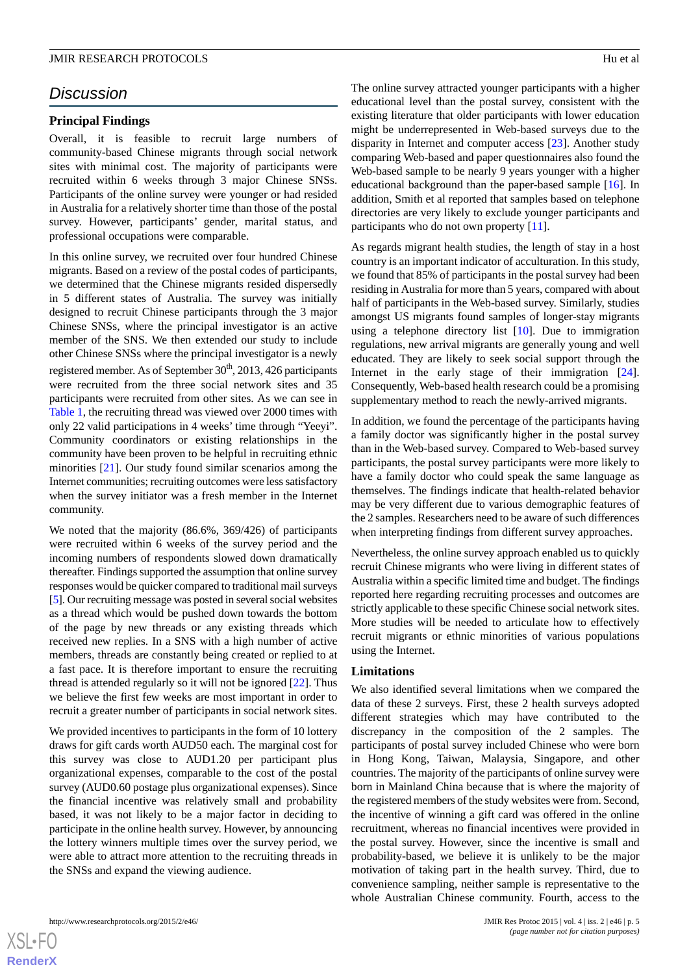# *Discussion*

#### **Principal Findings**

Overall, it is feasible to recruit large numbers of community-based Chinese migrants through social network sites with minimal cost. The majority of participants were recruited within 6 weeks through 3 major Chinese SNSs. Participants of the online survey were younger or had resided in Australia for a relatively shorter time than those of the postal survey. However, participants' gender, marital status, and professional occupations were comparable.

In this online survey, we recruited over four hundred Chinese migrants. Based on a review of the postal codes of participants, we determined that the Chinese migrants resided dispersedly in 5 different states of Australia. The survey was initially designed to recruit Chinese participants through the 3 major Chinese SNSs, where the principal investigator is an active member of the SNS. We then extended our study to include other Chinese SNSs where the principal investigator is a newly registered member. As of September 30<sup>th</sup>, 2013, 426 participants were recruited from the three social network sites and 35 participants were recruited from other sites. As we can see in [Table 1,](#page-3-0) the recruiting thread was viewed over 2000 times with only 22 valid participations in 4 weeks' time through "Yeeyi". Community coordinators or existing relationships in the community have been proven to be helpful in recruiting ethnic minorities [[21\]](#page-6-7). Our study found similar scenarios among the Internet communities; recruiting outcomes were less satisfactory when the survey initiator was a fresh member in the Internet community.

We noted that the majority (86.6%, 369/426) of participants were recruited within 6 weeks of the survey period and the incoming numbers of respondents slowed down dramatically thereafter. Findings supported the assumption that online survey responses would be quicker compared to traditional mail surveys [[5\]](#page-5-3). Our recruiting message was posted in several social websites as a thread which would be pushed down towards the bottom of the page by new threads or any existing threads which received new replies. In a SNS with a high number of active members, threads are constantly being created or replied to at a fast pace. It is therefore important to ensure the recruiting thread is attended regularly so it will not be ignored [[22\]](#page-6-8). Thus we believe the first few weeks are most important in order to recruit a greater number of participants in social network sites.

We provided incentives to participants in the form of 10 lottery draws for gift cards worth AUD50 each. The marginal cost for this survey was close to AUD1.20 per participant plus organizational expenses, comparable to the cost of the postal survey (AUD0.60 postage plus organizational expenses). Since the financial incentive was relatively small and probability based, it was not likely to be a major factor in deciding to participate in the online health survey. However, by announcing the lottery winners multiple times over the survey period, we were able to attract more attention to the recruiting threads in the SNSs and expand the viewing audience.

The online survey attracted younger participants with a higher educational level than the postal survey, consistent with the existing literature that older participants with lower education might be underrepresented in Web-based surveys due to the disparity in Internet and computer access [\[23](#page-6-9)]. Another study comparing Web-based and paper questionnaires also found the Web-based sample to be nearly 9 years younger with a higher educational background than the paper-based sample [\[16](#page-6-2)]. In addition, Smith et al reported that samples based on telephone directories are very likely to exclude younger participants and participants who do not own property [[11\]](#page-5-9).

As regards migrant health studies, the length of stay in a host country is an important indicator of acculturation. In this study, we found that 85% of participants in the postal survey had been residing in Australia for more than 5 years, compared with about half of participants in the Web-based survey. Similarly, studies amongst US migrants found samples of longer-stay migrants using a telephone directory list [\[10](#page-5-8)]. Due to immigration regulations, new arrival migrants are generally young and well educated. They are likely to seek social support through the Internet in the early stage of their immigration [[24\]](#page-6-10). Consequently, Web-based health research could be a promising supplementary method to reach the newly-arrived migrants.

In addition, we found the percentage of the participants having a family doctor was significantly higher in the postal survey than in the Web-based survey. Compared to Web-based survey participants, the postal survey participants were more likely to have a family doctor who could speak the same language as themselves. The findings indicate that health-related behavior may be very different due to various demographic features of the 2 samples. Researchers need to be aware of such differences when interpreting findings from different survey approaches.

Nevertheless, the online survey approach enabled us to quickly recruit Chinese migrants who were living in different states of Australia within a specific limited time and budget. The findings reported here regarding recruiting processes and outcomes are strictly applicable to these specific Chinese social network sites. More studies will be needed to articulate how to effectively recruit migrants or ethnic minorities of various populations using the Internet.

#### **Limitations**

We also identified several limitations when we compared the data of these 2 surveys. First, these 2 health surveys adopted different strategies which may have contributed to the discrepancy in the composition of the 2 samples. The participants of postal survey included Chinese who were born in Hong Kong, Taiwan, Malaysia, Singapore, and other countries. The majority of the participants of online survey were born in Mainland China because that is where the majority of the registered members of the study websites were from. Second, the incentive of winning a gift card was offered in the online recruitment, whereas no financial incentives were provided in the postal survey. However, since the incentive is small and probability-based, we believe it is unlikely to be the major motivation of taking part in the health survey. Third, due to convenience sampling, neither sample is representative to the whole Australian Chinese community. Fourth, access to the

http://www.researchprotocols.org/2015/2/e46/ JMIR Res Protoc 2015 | vol. 4 | iss. 2 | e46 | p. 5

 $XS$ -FO **[RenderX](http://www.renderx.com/)**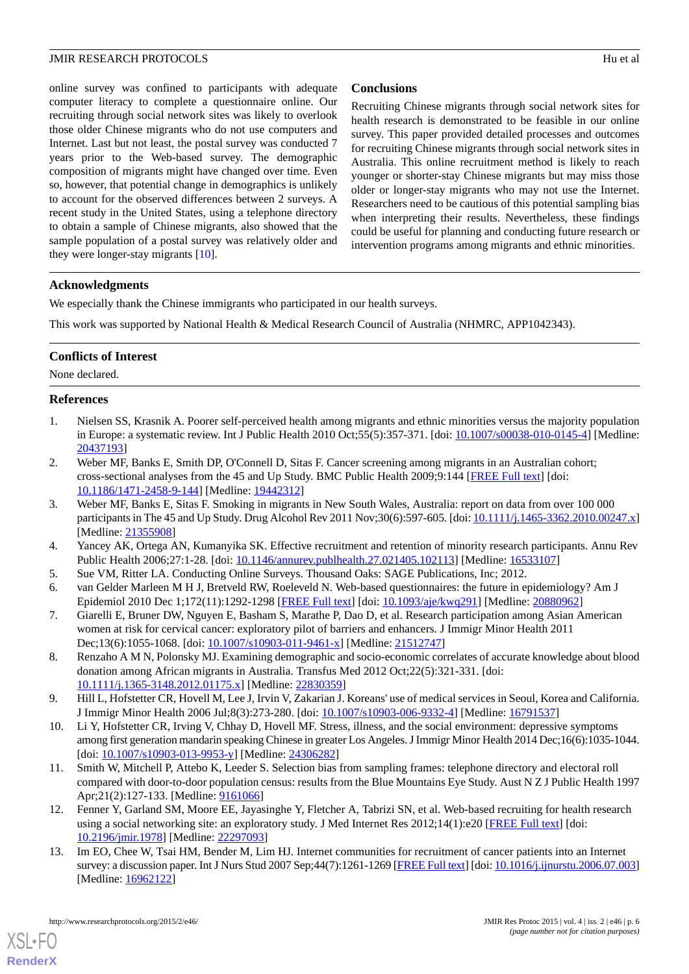online survey was confined to participants with adequate computer literacy to complete a questionnaire online. Our recruiting through social network sites was likely to overlook those older Chinese migrants who do not use computers and Internet. Last but not least, the postal survey was conducted 7 years prior to the Web-based survey. The demographic composition of migrants might have changed over time. Even so, however, that potential change in demographics is unlikely to account for the observed differences between 2 surveys. A recent study in the United States, using a telephone directory to obtain a sample of Chinese migrants, also showed that the sample population of a postal survey was relatively older and they were longer-stay migrants [\[10](#page-5-8)].

### **Conclusions**

Recruiting Chinese migrants through social network sites for health research is demonstrated to be feasible in our online survey. This paper provided detailed processes and outcomes for recruiting Chinese migrants through social network sites in Australia. This online recruitment method is likely to reach younger or shorter-stay Chinese migrants but may miss those older or longer-stay migrants who may not use the Internet. Researchers need to be cautious of this potential sampling bias when interpreting their results. Nevertheless, these findings could be useful for planning and conducting future research or intervention programs among migrants and ethnic minorities.

#### **Acknowledgments**

We especially thank the Chinese immigrants who participated in our health surveys.

This work was supported by National Health & Medical Research Council of Australia (NHMRC, APP1042343).

### **Conflicts of Interest**

<span id="page-5-0"></span>None declared.

#### **References**

- <span id="page-5-1"></span>1. Nielsen SS, Krasnik A. Poorer self-perceived health among migrants and ethnic minorities versus the majority population in Europe: a systematic review. Int J Public Health 2010 Oct;55(5):357-371. [doi: [10.1007/s00038-010-0145-4\]](http://dx.doi.org/10.1007/s00038-010-0145-4) [Medline: [20437193](http://www.ncbi.nlm.nih.gov/entrez/query.fcgi?cmd=Retrieve&db=PubMed&list_uids=20437193&dopt=Abstract)]
- 2. Weber MF, Banks E, Smith DP, O'Connell D, Sitas F. Cancer screening among migrants in an Australian cohort; cross-sectional analyses from the 45 and Up Study. BMC Public Health 2009;9:144 [[FREE Full text](http://www.biomedcentral.com/1471-2458/9/144)] [doi: [10.1186/1471-2458-9-144\]](http://dx.doi.org/10.1186/1471-2458-9-144) [Medline: [19442312\]](http://www.ncbi.nlm.nih.gov/entrez/query.fcgi?cmd=Retrieve&db=PubMed&list_uids=19442312&dopt=Abstract)
- <span id="page-5-3"></span><span id="page-5-2"></span>3. Weber MF, Banks E, Sitas F. Smoking in migrants in New South Wales, Australia: report on data from over 100 000 participants in The 45 and Up Study. Drug Alcohol Rev 2011 Nov;30(6):597-605. [doi: [10.1111/j.1465-3362.2010.00247.x\]](http://dx.doi.org/10.1111/j.1465-3362.2010.00247.x) [Medline: [21355908](http://www.ncbi.nlm.nih.gov/entrez/query.fcgi?cmd=Retrieve&db=PubMed&list_uids=21355908&dopt=Abstract)]
- <span id="page-5-5"></span><span id="page-5-4"></span>4. Yancey AK, Ortega AN, Kumanyika SK. Effective recruitment and retention of minority research participants. Annu Rev Public Health 2006;27:1-28. [doi: [10.1146/annurev.publhealth.27.021405.102113\]](http://dx.doi.org/10.1146/annurev.publhealth.27.021405.102113) [Medline: [16533107\]](http://www.ncbi.nlm.nih.gov/entrez/query.fcgi?cmd=Retrieve&db=PubMed&list_uids=16533107&dopt=Abstract)
- 5. Sue VM, Ritter LA. Conducting Online Surveys. Thousand Oaks: SAGE Publications, Inc; 2012.
- <span id="page-5-6"></span>6. van Gelder Marleen M H J, Bretveld RW, Roeleveld N. Web-based questionnaires: the future in epidemiology? Am J Epidemiol 2010 Dec 1;172(11):1292-1298 [\[FREE Full text\]](http://aje.oxfordjournals.org/cgi/pmidlookup?view=long&pmid=20880962) [doi: [10.1093/aje/kwq291\]](http://dx.doi.org/10.1093/aje/kwq291) [Medline: [20880962](http://www.ncbi.nlm.nih.gov/entrez/query.fcgi?cmd=Retrieve&db=PubMed&list_uids=20880962&dopt=Abstract)]
- <span id="page-5-7"></span>7. Giarelli E, Bruner DW, Nguyen E, Basham S, Marathe P, Dao D, et al. Research participation among Asian American women at risk for cervical cancer: exploratory pilot of barriers and enhancers. J Immigr Minor Health 2011 Dec;13(6):1055-1068. [doi: [10.1007/s10903-011-9461-x\]](http://dx.doi.org/10.1007/s10903-011-9461-x) [Medline: [21512747\]](http://www.ncbi.nlm.nih.gov/entrez/query.fcgi?cmd=Retrieve&db=PubMed&list_uids=21512747&dopt=Abstract)
- <span id="page-5-8"></span>8. Renzaho A M N, Polonsky MJ. Examining demographic and socio-economic correlates of accurate knowledge about blood donation among African migrants in Australia. Transfus Med 2012 Oct;22(5):321-331. [doi: [10.1111/j.1365-3148.2012.01175.x\]](http://dx.doi.org/10.1111/j.1365-3148.2012.01175.x) [Medline: [22830359\]](http://www.ncbi.nlm.nih.gov/entrez/query.fcgi?cmd=Retrieve&db=PubMed&list_uids=22830359&dopt=Abstract)
- <span id="page-5-9"></span>9. Hill L, Hofstetter CR, Hovell M, Lee J, Irvin V, Zakarian J. Koreans' use of medical services in Seoul, Korea and California. J Immigr Minor Health 2006 Jul;8(3):273-280. [doi: [10.1007/s10903-006-9332-4](http://dx.doi.org/10.1007/s10903-006-9332-4)] [Medline: [16791537](http://www.ncbi.nlm.nih.gov/entrez/query.fcgi?cmd=Retrieve&db=PubMed&list_uids=16791537&dopt=Abstract)]
- <span id="page-5-10"></span>10. Li Y, Hofstetter CR, Irving V, Chhay D, Hovell MF. Stress, illness, and the social environment: depressive symptoms among first generation mandarin speaking Chinese in greater Los Angeles. J Immigr Minor Health 2014 Dec;16(6):1035-1044. [doi: [10.1007/s10903-013-9953-y](http://dx.doi.org/10.1007/s10903-013-9953-y)] [Medline: [24306282\]](http://www.ncbi.nlm.nih.gov/entrez/query.fcgi?cmd=Retrieve&db=PubMed&list_uids=24306282&dopt=Abstract)
- <span id="page-5-11"></span>11. Smith W, Mitchell P, Attebo K, Leeder S. Selection bias from sampling frames: telephone directory and electoral roll compared with door-to-door population census: results from the Blue Mountains Eye Study. Aust N Z J Public Health 1997 Apr;21(2):127-133. [Medline: [9161066\]](http://www.ncbi.nlm.nih.gov/entrez/query.fcgi?cmd=Retrieve&db=PubMed&list_uids=9161066&dopt=Abstract)
- 12. Fenner Y, Garland SM, Moore EE, Jayasinghe Y, Fletcher A, Tabrizi SN, et al. Web-based recruiting for health research using a social networking site: an exploratory study. J Med Internet Res 2012;14(1):e20 [[FREE Full text](http://www.jmir.org/2012/1/e20/)] [doi: [10.2196/jmir.1978](http://dx.doi.org/10.2196/jmir.1978)] [Medline: [22297093](http://www.ncbi.nlm.nih.gov/entrez/query.fcgi?cmd=Retrieve&db=PubMed&list_uids=22297093&dopt=Abstract)]
- 13. Im EO, Chee W, Tsai HM, Bender M, Lim HJ. Internet communities for recruitment of cancer patients into an Internet survey: a discussion paper. Int J Nurs Stud 2007 Sep;44(7):1261-1269 [\[FREE Full text\]](http://europepmc.org/abstract/MED/16962122) [doi: [10.1016/j.ijnurstu.2006.07.003](http://dx.doi.org/10.1016/j.ijnurstu.2006.07.003)] [Medline: [16962122](http://www.ncbi.nlm.nih.gov/entrez/query.fcgi?cmd=Retrieve&db=PubMed&list_uids=16962122&dopt=Abstract)]

[XSL](http://www.w3.org/Style/XSL)•FO **[RenderX](http://www.renderx.com/)**